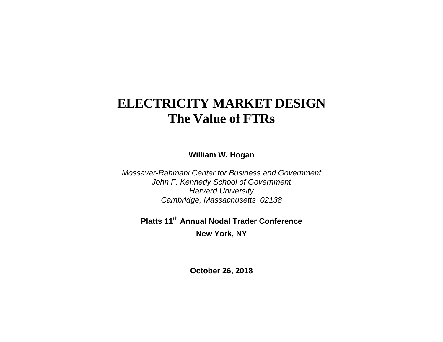# **ELECTRICITY MARKET DESIGN The Value of FTRs**

**William W. Hogan** 

*Mossavar-Rahmani Center for Business and Government John F. Kennedy School of Government Harvard University Cambridge, Massachusetts 02138* 

**Platts 11th Annual Nodal Trader Conference New York, NY** 

**October 26, 2018**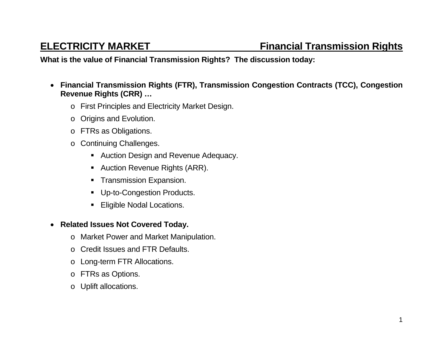### **What is the value of Financial Transmission Rights? The discussion today:**

- **Financial Transmission Rights (FTR), Transmission Congestion Contracts (TCC), Congestion Revenue Rights (CRR) …** 
	- <sup>o</sup> First Principles and Electricity Market Design.
	- <sup>o</sup> Origins and Evolution.
	- <sup>o</sup> FTRs as Obligations.
	- <sup>o</sup> Continuing Challenges.
		- **Auction Design and Revenue Adequacy.**
		- Auction Revenue Rights (ARR).
		- **Transmission Expansion.**
		- **Up-to-Congestion Products.**
		- **Eligible Nodal Locations.**
- **Related Issues Not Covered Today.** 
	- <sup>o</sup> Market Power and Market Manipulation.
	- o Credit Issues and FTR Defaults.
	- <sup>o</sup> Long-term FTR Allocations.
	- <sup>o</sup> FTRs as Options.
	- o Uplift allocations.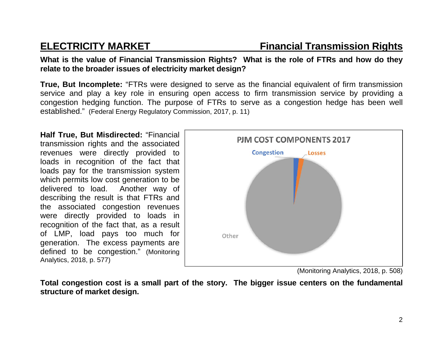**What is the value of Financial Transmission Rights? What is the role of FTRs and how do they relate to the broader issues of electricity market design?** 

**True, But Incomplete:** "FTRs were designed to serve as the financial equivalent of firm transmission service and play a key role in ensuring open access to firm transmission service by providing a congestion hedging function. The purpose of FTRs to serve as a congestion hedge has been well established." (Federal Energy Regulatory Commission, 2017, p. 11)

**Half True, But Misdirected:** "Financial transmission rights and the associated revenues were directly provided to loads in recognition of the fact that loads pay for the transmission system which permits low cost generation to be delivered to load. Another way of describing the result is that FTRs and the associated congestion revenues were directly provided to loads in recognition of the fact that, as a result of LMP, load pays too much for generation. The excess payments are defined to be congestion." (Monitoring Analytics, 2018, p. 577)



<sup>(</sup>Monitoring Analytics, 2018, p. 508)

**Total congestion cost is a small part of the story. The bigger issue centers on the fundamental structure of market design.**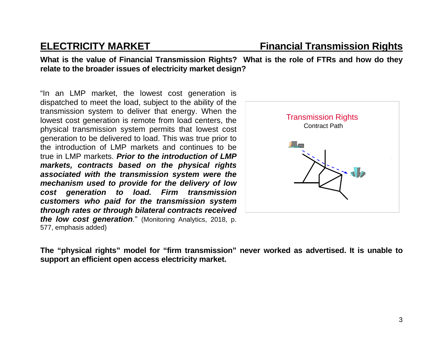**What is the value of Financial Transmission Rights? What is the role of FTRs and how do they relate to the broader issues of electricity market design?** 

"In an LMP market, the lowest cost generation is dispatched to meet the load, subject to the ability of the transmission system to deliver that energy. When the lowest cost generation is remote from load centers, the physical transmission system permits that lowest cost generation to be delivered to load. This was true prior to the introduction of LMP markets and continues to be true in LMP markets. *Prior to the introduction of LMP markets, contracts based on the physical rights associated with the transmission system were the mechanism used to provide for the delivery of low cost generation to load. Firm transmission customers who paid for the transmission system through rates or through bilateral contracts received the low cost generation.*" (Monitoring Analytics, 2018, p. 577, emphasis added)



**The "physical rights" model for "firm transmission" never worked as advertised. It is unable to support an efficient open access electricity market.**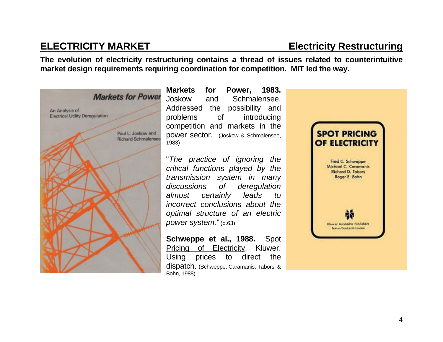## **ELECTRICITY MARKET Electricity Restructuring**

**The evolution of electricity restructuring contains a thread of issues related to counterintuitive market design requirements requiring coordination for competition. MIT led the way.** 



**Markets for Power, 1983.** Joskow and Schmalensee. Addressed the possibility and problems of introducing competition and markets in the power sector. (Joskow & Schmalensee, 1983)

"*The practice of ignoring the critical functions played by the transmission system in many discussions of deregulation almost certainly leads to incorrect conclusions about the optimal structure of an electric power system.*"(p.63)

**Schweppe et al., 1988.** Spot Pricing of Electricity, Kluwer. Using prices to direct the dispatch. (Schweppe, Caramanis, Tabors, & Bohn, 1988)

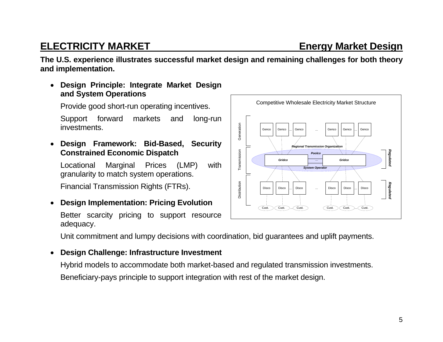### 5

### **ELECTRICITY MARKET ELECTRICITY MARKET**

**The U.S. experience illustrates successful market design and remaining challenges for both theory and implementation.** 

 **Design Principle: Integrate Market Design and System Operations** 

Provide good short-run operating incentives.

Support forward markets and long-run investments.

 **Design Framework: Bid-Based, Security Constrained Economic Dispatch** 

Locational Marginal Prices (LMP) with granularity to match system operations.

Financial Transmission Rights (FTRs).

 $\bullet$ **Design Implementation: Pricing Evolution** 

Better scarcity pricing to support resource adequacy.

Unit commitment and lumpy decisions with coordination, bid guarantees and uplift payments.

### $\bullet$ **Design Challenge: Infrastructure Investment**

Hybrid models to accommodate both market-based and regulated transmission investments. Beneficiary-pays principle to support integration with rest of the market design.

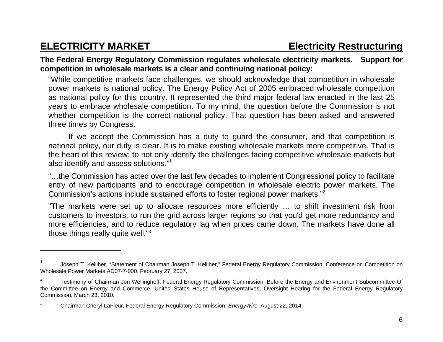### **The Federal Energy Regulatory Commission regulates wholesale electricity markets. Support for competition in wholesale markets is a clear and continuing national policy:**

"While competitive markets face challenges, we should acknowledge that competition in wholesale power markets is national policy. The Energy Policy Act of 2005 embraced wholesale competition as national policy for this country. It represented the third major federal law enacted in the last 25 years to embrace wholesale competition. To my mind, the question before the Commission is not whether competition is the correct national policy. That question has been asked and answered three times by Congress.

If we accept the Commission has a duty to guard the consumer, and that competition is national policy, our duty is clear. It is to make existing wholesale markets more competitive. That is the heart of this review: to not only identify the challenges facing competitive wholesale markets but also identify and assess solutions."<sup>1</sup>

"…the Commission has acted over the last few decades to implement Congressional policy to facilitate entry of new participants and to encourage competition in wholesale electric power markets. The Commission's actions include sustained efforts to foster regional power markets."2

"The markets were set up to allocate resources more efficiently … to shift investment risk from customers to investors, to run the grid across larger regions so that you'd get more redundancy and more efficiencies, and to reduce regulatory lag when prices came down. The markets have done all those things really quite well."3

<sup>1</sup> Joseph T. Kelliher, "Statement of Chairman Joseph T. Kelliher," Federal Energy Regulatory Commission, Conference on Competition on Wholesale Power Markets AD07-7-000. February 27, 2007.

<sup>2</sup> Testimony of Chairman Jon Wellinghoff, Federal Energy Regulatory Commission, Before the Energy and Environment Subcommittee Of the Committee on Energy and Commerce, United States House of Representatives, Oversight Hearing for the Federal Energy Regulatory Commission, March 23, 2010.

<sup>3</sup> Chairman Cheryl LaFleur, Federal Energy Regulatory Commission, *EnergyWire,* August 22, 2014.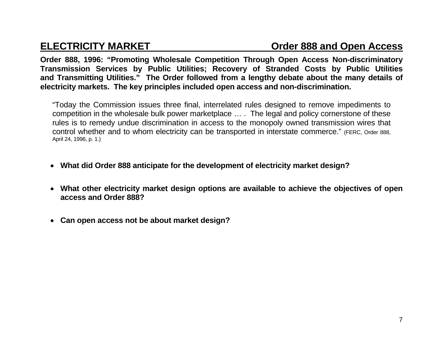**Order 888, 1996: "Promoting Wholesale Competition Through Open Access Non-discriminatory Transmission Services by Public Utilities; Recovery of Stranded Costs by Public Utilities and Transmitting Utilities." The Order followed from a lengthy debate about the many details of electricity markets. The key principles included open access and non-discrimination.**

"Today the Commission issues three final, interrelated rules designed to remove impediments to competition in the wholesale bulk power marketplace … . The legal and policy cornerstone of these rules is to remedy undue discrimination in access to the monopoly owned transmission wires that control whether and to whom electricity can be transported in interstate commerce." (FERC, Order 888, April 24, 1996, p. 1.)

- **What did Order 888 anticipate for the development of electricity market design?**
- **What other electricity market design options are available to achieve the objectives of open access and Order 888?**
- **Can open access not be about market design?**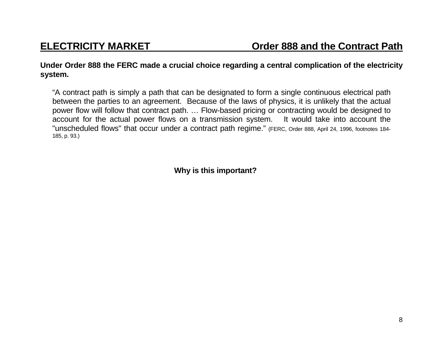**Under Order 888 the FERC made a crucial choice regarding a central complication of the electricity system.** 

"A contract path is simply a path that can be designated to form a single continuous electrical path between the parties to an agreement. Because of the laws of physics, it is unlikely that the actual power flow will follow that contract path. … Flow-based pricing or contracting would be designed to account for the actual power flows on a transmission system. It would take into account the "unscheduled flows" that occur under a contract path regime." (FERC, Order 888, April 24, 1996, footnotes 184- 185, p. 93.)

**Why is this important?**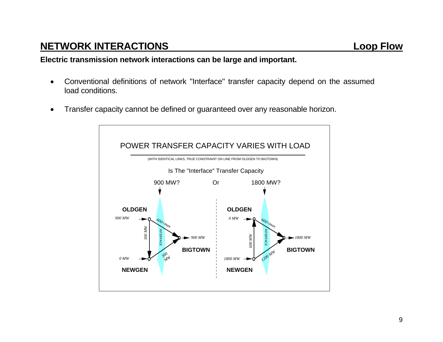## **NETWORK INTERACTIONS Loop Flow**

**Electric transmission network interactions can be large and important.** 

- Conventional definitions of network "Interface" transfer capacity depend on the assumed load conditions.
- Transfer capacity cannot be defined or guaranteed over any reasonable horizon.

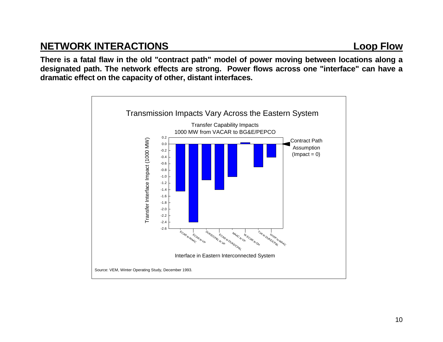## **NETWORK INTERACTIONS Loop Flow**

**There is a fatal flaw in the old "contract path" model of power moving between locations along a designated path. The network effects are strong. Power flows across one "interface" can have a dramatic effect on the capacity of other, distant interfaces.**

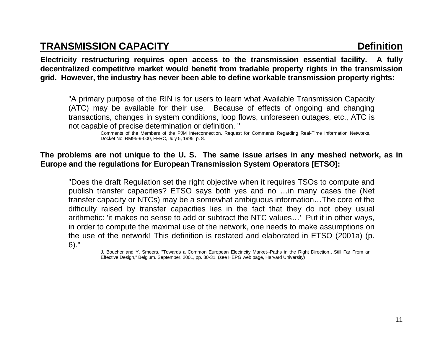### **TRANSMISSION CAPACITY Definition**

**Electricity restructuring requires open access to the transmission essential facility. A fully decentralized competitive market would benefit from tradable property rights in the transmission grid. However, the industry has never been able to define workable transmission property rights:** 

 "A primary purpose of the RIN is for users to learn what Available Transmission Capacity (ATC) may be available for their use. Because of effects of ongoing and changing transactions, changes in system conditions, loop flows, unforeseen outages, etc., ATC is not capable of precise determination or definition. "

> Comments of the Members of the PJM Interconnection, Request for Comments Regarding Real-Time Information Networks, Docket No. RM95-9-000, FERC, July 5, 1995, p. 8.

### **The problems are not unique to the U. S. The same issue arises in any meshed network, as in Europe and the regulations for European Transmission System Operators [ETSO]:**

"Does the draft Regulation set the right objective when it requires TSOs to compute and publish transfer capacities? ETSO says both yes and no …in many cases the (Net transfer capacity or NTCs) may be a somewhat ambiguous information…The core of the difficulty raised by transfer capacities lies in the fact that they do not obey usual arithmetic: 'it makes no sense to add or subtract the NTC values…' Put it in other ways, in order to compute the maximal use of the network, one needs to make assumptions on the use of the network! This definition is restated and elaborated in ETSO (2001a) (p. 6)."

> J. Boucher and Y. Smeers, "Towards a Common European Electricity Market--Paths in the Right Direction…Still Far From an Effective Design," Belgium. September, 2001, pp. 30-31. (see HEPG web page, Harvard University)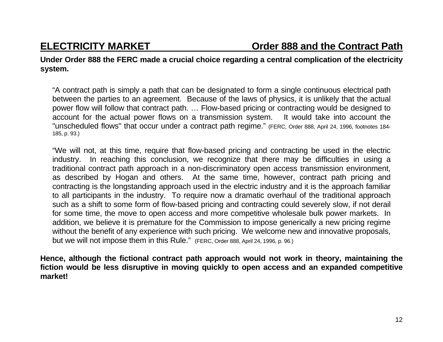**Under Order 888 the FERC made a crucial choice regarding a central complication of the electricity system.** 

"A contract path is simply a path that can be designated to form a single continuous electrical path between the parties to an agreement. Because of the laws of physics, it is unlikely that the actual power flow will follow that contract path. … Flow-based pricing or contracting would be designed to account for the actual power flows on a transmission system. It would take into account the "unscheduled flows" that occur under a contract path regime." (FERC, Order 888, April 24, 1996, footnotes 184- 185, p. 93.)

"We will not, at this time, require that flow-based pricing and contracting be used in the electric industry. In reaching this conclusion, we recognize that there may be difficulties in using a traditional contract path approach in a non-discriminatory open access transmission environment, as described by Hogan and others. At the same time, however, contract path pricing and contracting is the longstanding approach used in the electric industry and it is the approach familiar to all participants in the industry. To require now a dramatic overhaul of the traditional approach such as a shift to some form of flow-based pricing and contracting could severely slow, if not derail for some time, the move to open access and more competitive wholesale bulk power markets. In addition, we believe it is premature for the Commission to impose generically a new pricing regime without the benefit of any experience with such pricing. We welcome new and innovative proposals, but we will not impose them in this Rule." (FERC, Order 888, April 24, 1996, p. 96.)

**Hence, although the fictional contract path approach would not work in theory, maintaining the fiction would be less disruptive in moving quickly to open access and an expanded competitive market!**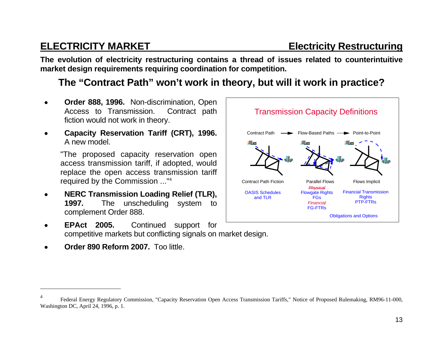**The evolution of electricity restructuring contains a thread of issues related to counterintuitive market design requirements requiring coordination for competition.** 

### **The "Contract Path" won't work in theory, but will it work in practice?**

- **Order 888, 1996.** Non-discrimination, Open Access to Transmission. Contract path fiction would not work in theory.
- **Capacity Reservation Tariff (CRT), 1996.** A new model.

"The proposed capacity reservation open access transmission tariff, if adopted, would replace the open access transmission tariff required by the Commission ..."<sup>4</sup>

- **NERC Transmission Loading Relief (TLR), 1997.** The unscheduling system to complement Order 888.
- **EPAct 2005.** Continued support for competitive markets but conflicting signals on market design.
- **Order 890 Reform 2007.** Too little.



<sup>4</sup> Federal Energy Regulatory Commission, "Capacity Reservation Open Access Transmission Tariffs," Notice of Proposed Rulemaking, RM96-11-000, Washington DC, April 24, 1996, p. 1.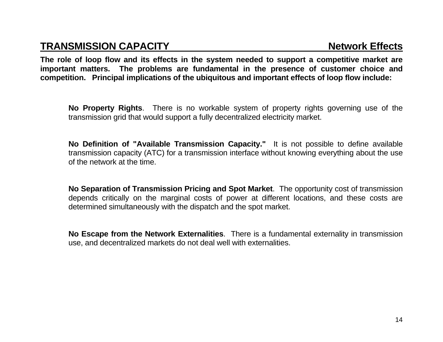### **TRANSMISSION CAPACITY Network Effects**

**The role of loop flow and its effects in the system needed to support a competitive market are important matters. The problems are fundamental in the presence of customer choice and competition. Principal implications of the ubiquitous and important effects of loop flow include:**

 **No Property Rights**. There is no workable system of property rights governing use of the transmission grid that would support a fully decentralized electricity market.

 **No Definition of "Available Transmission Capacity."** It is not possible to define available transmission capacity (ATC) for a transmission interface without knowing everything about the use of the network at the time.

 **No Separation of Transmission Pricing and Spot Market**. The opportunity cost of transmission depends critically on the marginal costs of power at different locations, and these costs are determined simultaneously with the dispatch and the spot market.

 **No Escape from the Network Externalities**. There is a fundamental externality in transmission use, and decentralized markets do not deal well with externalities.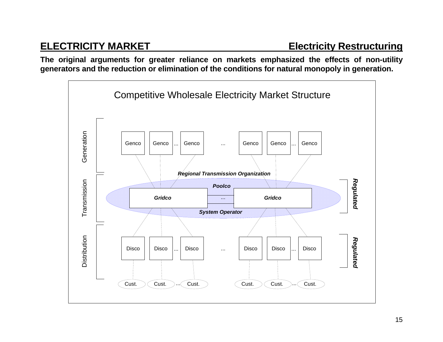**The original arguments for greater reliance on markets emphasized the effects of non-utility generators and the reduction or elimination of the conditions for natural monopoly in generation.** 

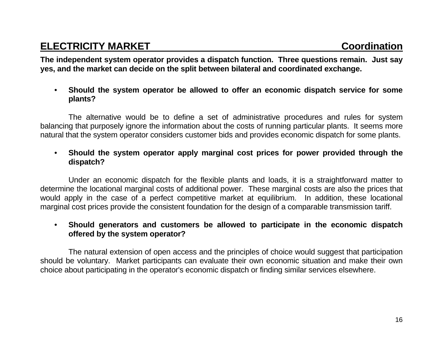**The independent system operator provides a dispatch function. Three questions remain. Just say yes, and the market can decide on the split between bilateral and coordinated exchange.**

### • **Should the system operator be allowed to offer an economic dispatch service for some plants?**

 The alternative would be to define a set of administrative procedures and rules for system balancing that purposely ignore the information about the costs of running particular plants. It seems more natural that the system operator considers customer bids and provides economic dispatch for some plants.

### • **Should the system operator apply marginal cost prices for power provided through the dispatch?**

 Under an economic dispatch for the flexible plants and loads, it is a straightforward matter to determine the locational marginal costs of additional power. These marginal costs are also the prices that would apply in the case of a perfect competitive market at equilibrium. In addition, these locational marginal cost prices provide the consistent foundation for the design of a comparable transmission tariff.

### • **Should generators and customers be allowed to participate in the economic dispatch offered by the system operator?**

 The natural extension of open access and the principles of choice would suggest that participation should be voluntary. Market participants can evaluate their own economic situation and make their own choice about participating in the operator's economic dispatch or finding similar services elsewhere.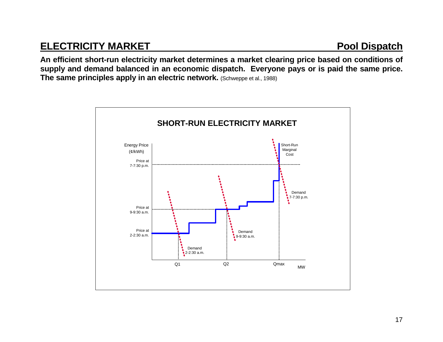## **ELECTRICITY MARKET Pool Dispatch**

**An efficient short-run electricity market determines a market clearing price based on conditions of supply and demand balanced in an economic dispatch. Everyone pays or is paid the same price. The same principles apply in an electric network.** (Schweppe et al., 1988)

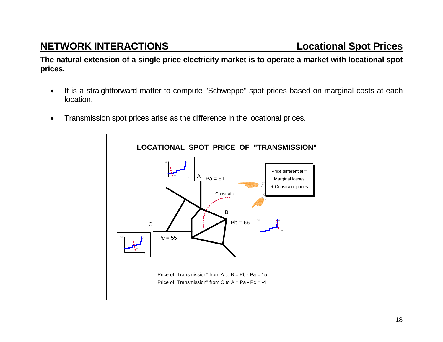## **NETWORK INTERACTIONS Locational Spot Prices**

**The natural extension of a single price electricity market is to operate a market with locational spot prices.** 

- It is a straightforward matter to compute "Schweppe" spot prices based on marginal costs at each location.
- Transmission spot prices arise as the difference in the locational prices.

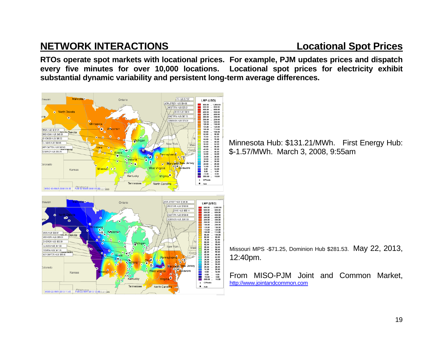## **NETWORK INTERACTIONS Locational Spot Prices**

**RTOs operate spot markets with locational prices. For example, PJM updates prices and dispatch every five minutes for over 10,000 locations. Locational spot prices for electricity exhibit substantial dynamic variability and persistent long-term average differences.** 

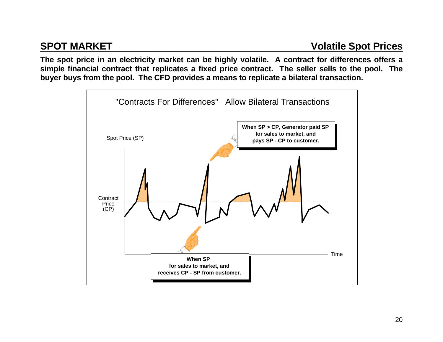**The spot price in an electricity market can be highly volatile. A contract for differences offers a simple financial contract that replicates a fixed price contract. The seller sells to the pool. The buyer buys from the pool. The CFD provides a means to replicate a bilateral transaction.** 

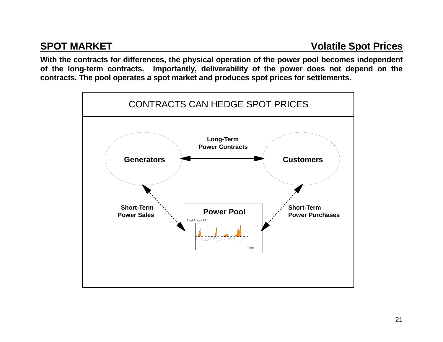**With the contracts for differences, the physical operation of the power pool becomes independent of the long-term contracts. Importantly, deliverability of the power does not depend on the contracts. The pool operates a spot market and produces spot prices for settlements.** 

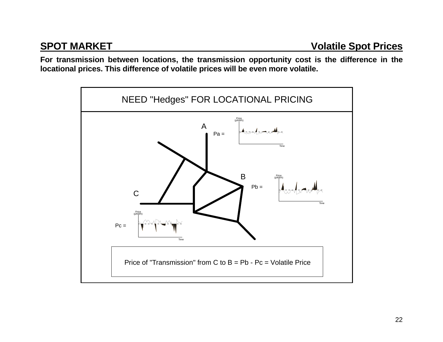**For transmission between locations, the transmission opportunity cost is the difference in the locational prices. This difference of volatile prices will be even more volatile.** 

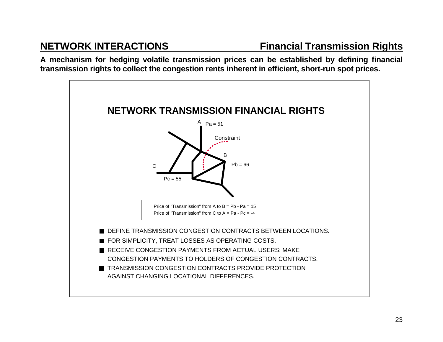**A mechanism for hedging volatile transmission prices can be established by defining financial transmission rights to collect the congestion rents inherent in efficient, short-run spot prices.** 

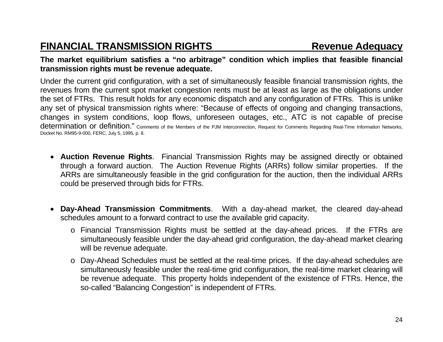## **FINANCIAL TRANSMISSION RIGHTS Revenue Adequacy**

### **The market equilibrium satisfies a "no arbitrage" condition which implies that feasible financial transmission rights must be revenue adequate.**

Under the current grid configuration, with a set of simultaneously feasible financial transmission rights, the revenues from the current spot market congestion rents must be at least as large as the obligations under the set of FTRs. This result holds for any economic dispatch and any configuration of FTRs. This is unlike any set of physical transmission rights where: "Because of effects of ongoing and changing transactions, changes in system conditions, loop flows, unforeseen outages, etc., ATC is not capable of precise determination or definition." Comments of the Members of the PJM Interconnection, Request for Comments Regarding Real-Time Information Networks, Docket No. RM95-9-000, FERC, July 5, 1995, p. 8.

- **Auction Revenue Rights**. Financial Transmission Rights may be assigned directly or obtained through a forward auction. The Auction Revenue Rights (ARRs) follow similar properties. If the ARRs are simultaneously feasible in the grid configuration for the auction, then the individual ARRs could be preserved through bids for FTRs.
- **Day-Ahead Transmission Commitments**. With a day-ahead market, the cleared day-ahead schedules amount to a forward contract to use the available grid capacity.
	- <sup>o</sup> Financial Transmission Rights must be settled at the day-ahead prices. If the FTRs are simultaneously feasible under the day-ahead grid configuration, the day-ahead market clearing will be revenue adequate.
	- <sup>o</sup> Day-Ahead Schedules must be settled at the real-time prices. If the day-ahead schedules are simultaneously feasible under the real-time grid configuration, the real-time market clearing will be revenue adequate. This property holds independent of the existence of FTRs. Hence, the so-called "Balancing Congestion" is independent of FTRs.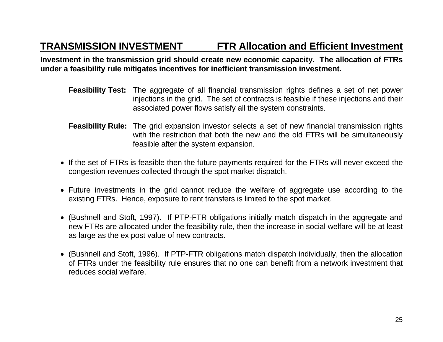## **TRANSMISSION INVESTMENT FTR Allocation and Efficient Investment**

**Investment in the transmission grid should create new economic capacity. The allocation of FTRs under a feasibility rule mitigates incentives for inefficient transmission investment.**

- **Feasibility Test:** The aggregate of all financial transmission rights defines a set of net power injections in the grid. The set of contracts is feasible if these injections and their associated power flows satisfy all the system constraints.
- **Feasibility Rule:** The grid expansion investor selects a set of new financial transmission rights with the restriction that both the new and the old FTRs will be simultaneously feasible after the system expansion.
- If the set of FTRs is feasible then the future payments required for the FTRs will never exceed the congestion revenues collected through the spot market dispatch.
- Future investments in the grid cannot reduce the welfare of aggregate use according to the existing FTRs. Hence, exposure to rent transfers is limited to the spot market.
- (Bushnell and Stoft, 1997). If PTP-FTR obligations initially match dispatch in the aggregate and new FTRs are allocated under the feasibility rule, then the increase in social welfare will be at least as large as the ex post value of new contracts.
- (Bushnell and Stoft, 1996). If PTP-FTR obligations match dispatch individually, then the allocation of FTRs under the feasibility rule ensures that no one can benefit from a network investment that reduces social welfare.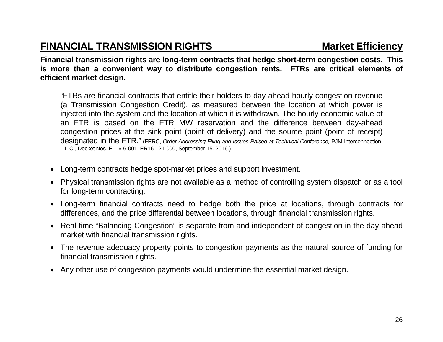## **FINANCIAL TRANSMISSION RIGHTS MARKET MARKET Efficiency**

**Financial transmission rights are long-term contracts that hedge short-term congestion costs. This is more than a convenient way to distribute congestion rents. FTRs are critical elements of efficient market design.** 

"FTRs are financial contracts that entitle their holders to day-ahead hourly congestion revenue (a Transmission Congestion Credit), as measured between the location at which power is injected into the system and the location at which it is withdrawn. The hourly economic value of an FTR is based on the FTR MW reservation and the difference between day-ahead congestion prices at the sink point (point of delivery) and the source point (point of receipt) designated in the FTR." (FERC, *Order Addressing Filing and Issues Raised at Technical Conference,* PJM Interconnection, L.L.C., Docket Nos. EL16-6-001, ER16-121-000, September 15. 2016.)

- Long-term contracts hedge spot-market prices and support investment.
- Physical transmission rights are not available as a method of controlling system dispatch or as a tool for long-term contracting.
- Long-term financial contracts need to hedge both the price at locations, through contracts for differences, and the price differential between locations, through financial transmission rights.
- Real-time "Balancing Congestion" is separate from and independent of congestion in the day-ahead market with financial transmission rights.
- The revenue adequacy property points to congestion payments as the natural source of funding for financial transmission rights.
- Any other use of congestion payments would undermine the essential market design.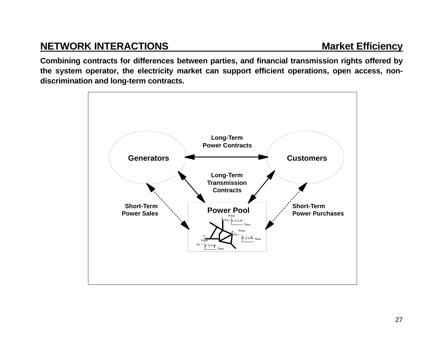## **NETWORK INTERACTIONS** Market Efficiency

**Combining contracts for differences between parties, and financial transmission rights offered by the system operator, the electricity market can support efficient operations, open access, nondiscrimination and long-term contracts.** 

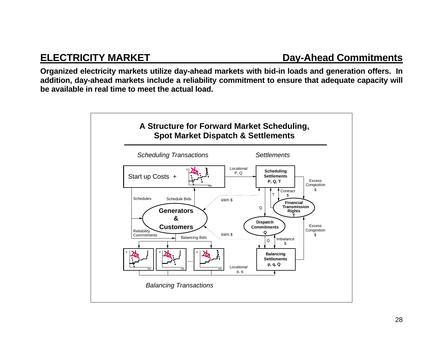**Organized electricity markets utilize day-ahead markets with bid-in loads and generation offers. In addition, day-ahead markets include a reliability commitment to ensure that adequate capacity will be available in real time to meet the actual load.** 

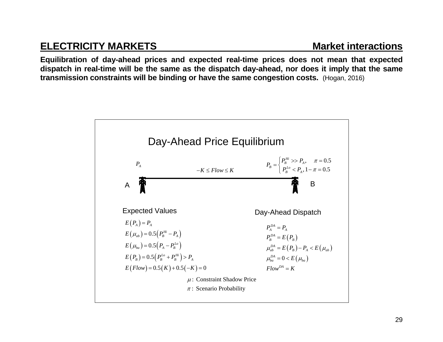## **ELECTRICITY MARKETS** Market interactions

**Equilibration of day-ahead prices and expected real-time prices does not mean that expected dispatch in real-time will be the same as the dispatch day-ahead, nor does it imply that the same transmission constraints will be binding or have the same congestion costs.** (Hogan, 2016)

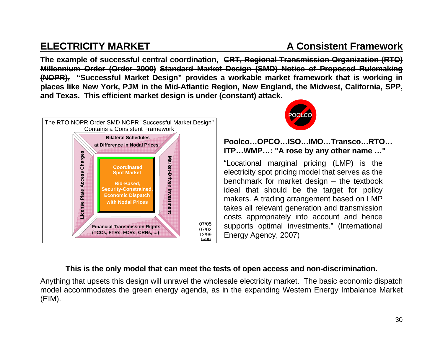## **ELECTRICITY MARKET A Consistent Framework**

**The example of successful central coordination, CRT, Regional Transmission Organization (RTO) Millennium Order (Order 2000) Standard Market Design (SMD) Notice of Proposed Rulemaking (NOPR), "Successful Market Design" provides a workable market framework that is working in places like New York, PJM in the Mid-Atlantic Region, New England, the Midwest, California, SPP, and Texas. This efficient market design is under (constant) attack.**





**Poolco…OPCO…ISO…IMO…Transco…RTO… ITP…WMP…: "A rose by any other name …"** 

"Locational marginal pricing (LMP) is the electricity spot pricing model that serves as the benchmark for market design – the textbook ideal that should be the target for policy makers. A trading arrangement based on LMP takes all relevant generation and transmission costs appropriately into account and hence supports optimal investments." (International Energy Agency, 2007)

### **This is the only model that can meet the tests of open access and non-discrimination.**

Anything that upsets this design will unravel the wholesale electricity market. The basic economic dispatch model accommodates the green energy agenda, as in the expanding Western Energy Imbalance Market (EIM).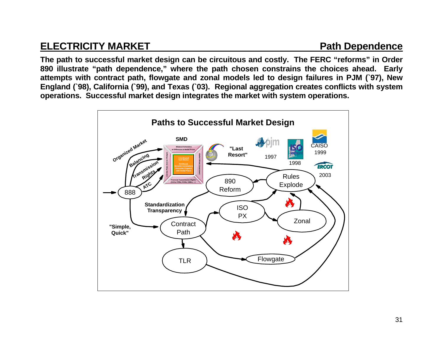## **ELECTRICITY MARKET Path Dependence**

**The path to successful market design can be circuitous and costly. The FERC "reforms" in Order 890 illustrate "path dependence," where the path chosen constrains the choices ahead. Early attempts with contract path, flowgate and zonal models led to design failures in PJM (`97), New England (`98), California (`99), and Texas (`03). Regional aggregation creates conflicts with system operations. Successful market design integrates the market with system operations.** 

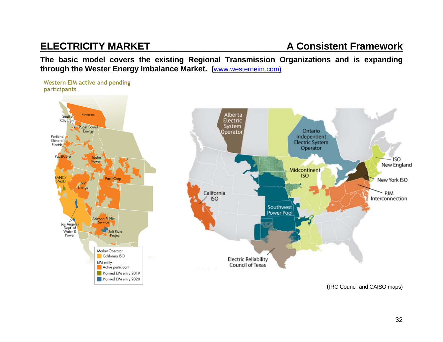## **ELECTRICITY MARKET A Consistent Framework**

**The basic model covers the existing Regional Transmission Organizations and is expanding through the Wester Energy Imbalance Market. (**www.westerneim.com)

Western EIM active and pending participants





(IRC Council and CAISO maps)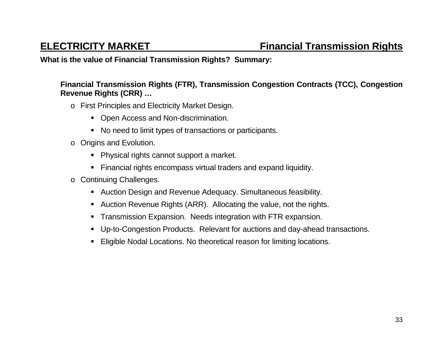### **What is the value of Financial Transmission Rights? Summary:**

### **Financial Transmission Rights (FTR), Transmission Congestion Contracts (TCC), Congestion Revenue Rights (CRR) …**

- <sup>o</sup> First Principles and Electricity Market Design.
	- Open Access and Non-discrimination.
	- No need to limit types of transactions or participants.
- <sup>o</sup> Origins and Evolution.
	- **Physical rights cannot support a market.**
	- Financial rights encompass virtual traders and expand liquidity.
- <sup>o</sup> Continuing Challenges.
	- Auction Design and Revenue Adequacy. Simultaneous feasibility.
	- Auction Revenue Rights (ARR). Allocating the value, not the rights.
	- **Transmission Expansion. Needs integration with FTR expansion.**
	- Up-to-Congestion Products. Relevant for auctions and day-ahead transactions.
	- Eligible Nodal Locations. No theoretical reason for limiting locations.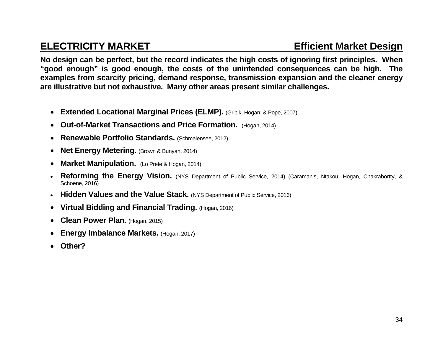## **ELECTRICITY MARKET Example 20 Efficient Market Design in the Efficient Market Design**

**No design can be perfect, but the record indicates the high costs of ignoring first principles. When "good enough" is good enough, the costs of the unintended consequences can be high. The examples from scarcity pricing, demand response, transmission expansion and the cleaner energy are illustrative but not exhaustive. Many other areas present similar challenges.** 

- **Extended Locational Marginal Prices (ELMP).** (Gribik, Hogan, & Pope, 2007)
- **Out-of-Market Transactions and Price Formation.** (Hogan, 2014)
- $\bullet$ **Renewable Portfolio Standards.** (Schmalensee, 2012)
- $\bullet$ **Net Energy Metering.** (Brown & Bunyan, 2014)
- $\bullet$ **Market Manipulation.** (Lo Prete & Hogan, 2014)
- $\bullet$  **Reforming the Energy Vision.** (NYS Department of Public Service, 2014) (Caramanis, Ntakou, Hogan, Chakrabortty, & Schoene, 2016)
- $\bullet$ **Hidden Values and the Value Stack.** (NYS Department of Public Service, 2016)
- **Virtual Bidding and Financial Trading.** (Hogan, 2016)
- $\bullet$ **Clean Power Plan.** (Hogan, 2015)
- $\bullet$ **Energy Imbalance Markets. (Hogan, 2017)**
- $\bullet$ **Other?**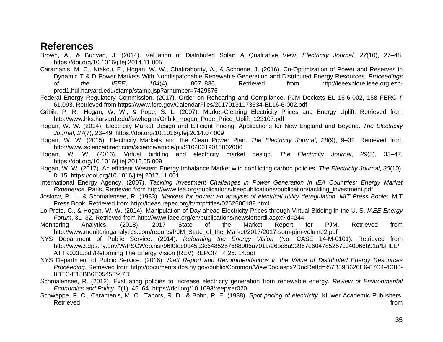### **References**

Brown, A., & Bunyan, J. (2014). Valuation of Distributed Solar: A Qualitative View. *Electricity Journal*, *27*(10), 27–48. https://doi.org/10.1016/j.tej.2014.11.005

Caramanis, M. C., Ntakou, E., Hogan, W. W., Chakrabortty, A., & Schoene, J. (2016). Co-Optimization of Power and Reserves in Dynamic T & D Power Markets With Nondispatchable Renewable Generation and Distributed Energy Resources. *Proceedings of the IEEE*, *104*(4), 807–836. Retrieved from http://ieeexplore.ieee.org.ezpprod1.hul.harvard.edu/stamp/stamp.jsp?arnumber=7429676

Federal Energy Regulatory Commission. (2017). Order on Rehearing and Compliance, PJM Dockets EL 16-6-002, 158 FERC ¶ 61,093. Retrieved from https://www.ferc.gov/CalendarFiles/20170131173534-EL16-6-002.pdf

Gribik, P. R., Hogan, W. W., & Pope, S. L. (2007). Market-Clearing Electricity Prices and Energy Uplift. Retrieved from http://www.hks.harvard.edu/fs/whogan/Gribik\_Hogan\_Pope\_Price\_Uplift\_123107.pdf

Hogan, W. W. (2014). Electricity Market Design and Efficient Pricing: Applications for New England and Beyond. *The Electricity Journal*, *27*(7), 23–49. https://doi.org/10.1016/j.tej.2014.07.009

Hogan, W. W. (2015). Electricity Markets and the Clean Power Plan. *The Electricity Journal*, *28*(9), 9–32. Retrieved from http://www.sciencedirect.com/science/article/pii/S1040619015002006

Hogan, W. W. (2016). Virtual bidding and electricity market design. *The Electricity Journal*, *29*(5), 33–47. https://doi.org/10.1016/j.tej.2016.05.009

Hogan, W. W. (2017). An efficient Western Energy Imbalance Market with conflicting carbon policies. *The Electricity Journal*, *30*(10), 8–15. https://doi.org/10.1016/j.tej.2017.11.001

International Energy Agency. (2007). *Tackling Investment Challenges in Power Generation in IEA Countries: Energy Market Experience*. Paris. Retrieved from http://www.iea.org/publications/freepublications/publication/tackling\_investment.pdf

Joskow, P. L., & Schmalensee, R. (1983). *Markets for power: an analysis of electrical utility deregulation*. *MIT Press Books*. MIT Press Book. Retrieved from http://ideas.repec.org/b/mtp/titles/0262600188.html

Lo Prete, C., & Hogan, W. W. (2014). Manipulation of Day-ahead Electricity Prices through Virtual Bidding in the U. S. *IAEE Energy Forum*, 31–32. Retrieved from http://www.iaee.org/en/publications/newsletterdl.aspx?id=244

Monitoring Analytics. (2018). 2017 State of the Market Report for PJM. Retrieved from http://www.monitoringanalytics.com/reports/PJM\_State\_of\_the\_Market/2017/2017-som-pjm-volume2.pdf

NYS Department of Public Service. (2014). *Reforming the Energy Vision* (No. CASE 14-M-0101). Retrieved from http://www3.dps.ny.gov/W/PSCWeb.nsf/96f0fec0b45a3c6485257688006a701a/26be8a93967e604785257cc40066b91a/\$FILE/ ATTK0J3L.pdf/Reforming The Energy Vision (REV) REPORT 4.25. 14.pdf

NYS Department of Public Service. (2016). *Staff Report and Recommendations in the Value of Distributed Energy Resources Proceeding*. Retrieved from http://documents.dps.ny.gov/public/Common/ViewDoc.aspx?DocRefId=%7B59B620E6-87C4-4C80- 8BEC-E15BB6E0545E%7D

Schmalensee, R. (2012). Evaluating policies to increase electricity generation from renewable energy. *Review of Environmental Economics and Policy*, *6*(1), 45–64. https://doi.org/10.1093/reep/rer020

Schweppe, F. C., Caramanis, M. C., Tabors, R. D., & Bohn, R. E. (1988). *Spot pricing of electricity*. Kluwer Academic Publishers. Retrieved from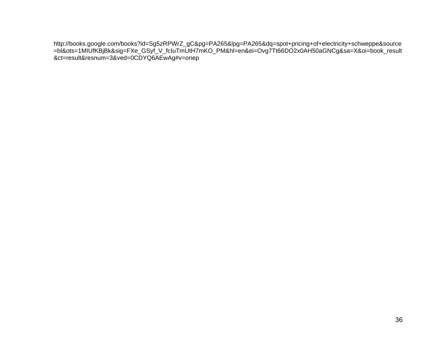http://books.google.com/books?id=Sg5zRPWrZ\_gC&pg=PA265&lpg=PA265&dq=spot+pricing+of+electricity+schweppe&source =bl&ots=1MIUfKBjBk&sig=FXe\_GSyf\_V\_fcIuTmUtH7mKO\_PM&hl=en&ei=Ovg7Tt66DO2x0AH50aGNCg&sa=X&oi=book\_result &ct=result&resnum=3&ved=0CDYQ6AEwAg#v=onep